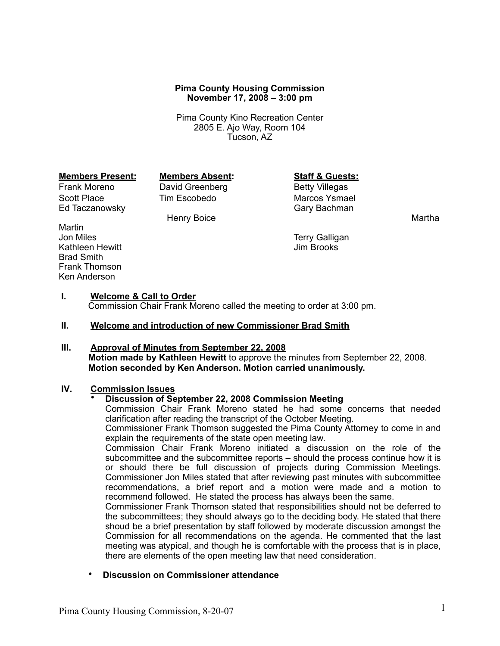#### **Pima County Housing Commission November 17, 2008 – 3:00 pm**

Pima County Kino Recreation Center 2805 E. Ajo Way, Room 104 Tucson, AZ

#### **Members Present: Members Absent: Staff & Guests:**

Frank Moreno **David Greenberg** Betty Villegas Scott Place Tim Escobedo Marcos Ysmael<br>Ed Taczanowsky Tim Escobedo Gary Bachman Ed Taczanowsky

Henry Boice **Martha** 

Martin<br>Jon Miles Kathleen Hewitt Brad Smith Frank Thomson Ken Anderson

Terry Galligan<br>Jim Brooks

#### **I. Welcome & Call to Order**

Commission Chair Frank Moreno called the meeting to order at 3:00 pm.

#### **II. Welcome and introduction of new Commissioner Brad Smith**

# **III. Approval of Minutes from September 22, 2008 Motion made by Kathleen Hewitt** to approve the minutes from September 22, 2008.

# **Motion seconded by Ken Anderson. Motion carried unanimously.**

### **IV. Commission Issues**

#### • **Discussion of September 22, 2008 Commission Meeting**

Commission Chair Frank Moreno stated he had some concerns that needed clarification after reading the transcript of the October Meeting.

Commissioner Frank Thomson suggested the Pima County Attorney to come in and explain the requirements of the state open meeting law.

Commission Chair Frank Moreno initiated a discussion on the role of the subcommittee and the subcommittee reports – should the process continue how it is or should there be full discussion of projects during Commission Meetings. Commissioner Jon Miles stated that after reviewing past minutes with subcommittee recommendations, a brief report and a motion were made and a motion to recommend followed. He stated the process has always been the same.

Commissioner Frank Thomson stated that responsibilities should not be deferred to the subcommittees; they should always go to the deciding body. He stated that there shoud be a brief presentation by staff followed by moderate discussion amongst the Commission for all recommendations on the agenda. He commented that the last meeting was atypical, and though he is comfortable with the process that is in place, there are elements of the open meeting law that need consideration.

• **Discussion on Commissioner attendance**